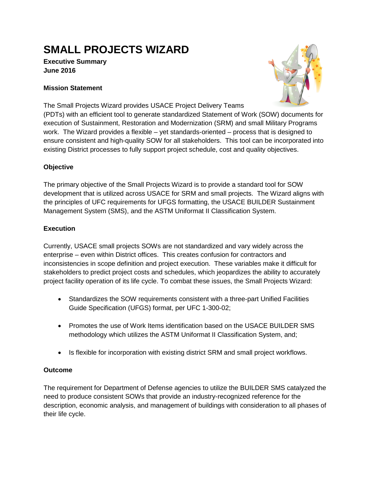# **SMALL PROJECTS WIZARD**

#### **Executive Summary June 2016**

### **Mission Statement**



The Small Projects Wizard provides USACE Project Delivery Teams

(PDTs) with an efficient tool to generate standardized Statement of Work (SOW) documents for execution of Sustainment, Restoration and Modernization (SRM) and small Military Programs work. The Wizard provides a flexible – yet standards-oriented – process that is designed to ensure consistent and high-quality SOW for all stakeholders. This tool can be incorporated into existing District processes to fully support project schedule, cost and quality objectives.

### **Objective**

The primary objective of the Small Projects Wizard is to provide a standard tool for SOW development that is utilized across USACE for SRM and small projects. The Wizard aligns with the principles of UFC requirements for UFGS formatting, the USACE BUILDER Sustainment Management System (SMS), and the ASTM Uniformat II Classification System.

## **Execution**

Currently, USACE small projects SOWs are not standardized and vary widely across the enterprise – even within District offices. This creates confusion for contractors and inconsistencies in scope definition and project execution. These variables make it difficult for stakeholders to predict project costs and schedules, which jeopardizes the ability to accurately project facility operation of its life cycle. To combat these issues, the Small Projects Wizard:

- Standardizes the SOW requirements consistent with a three-part Unified Facilities Guide Specification (UFGS) format, per UFC 1-300-02;
- Promotes the use of Work Items identification based on the USACE BUILDER SMS methodology which utilizes the ASTM Uniformat II Classification System, and;
- Is flexible for incorporation with existing district SRM and small project workflows.

## **Outcome**

The requirement for Department of Defense agencies to utilize the BUILDER SMS catalyzed the need to produce consistent SOWs that provide an industry-recognized reference for the description, economic analysis, and management of buildings with consideration to all phases of their life cycle.